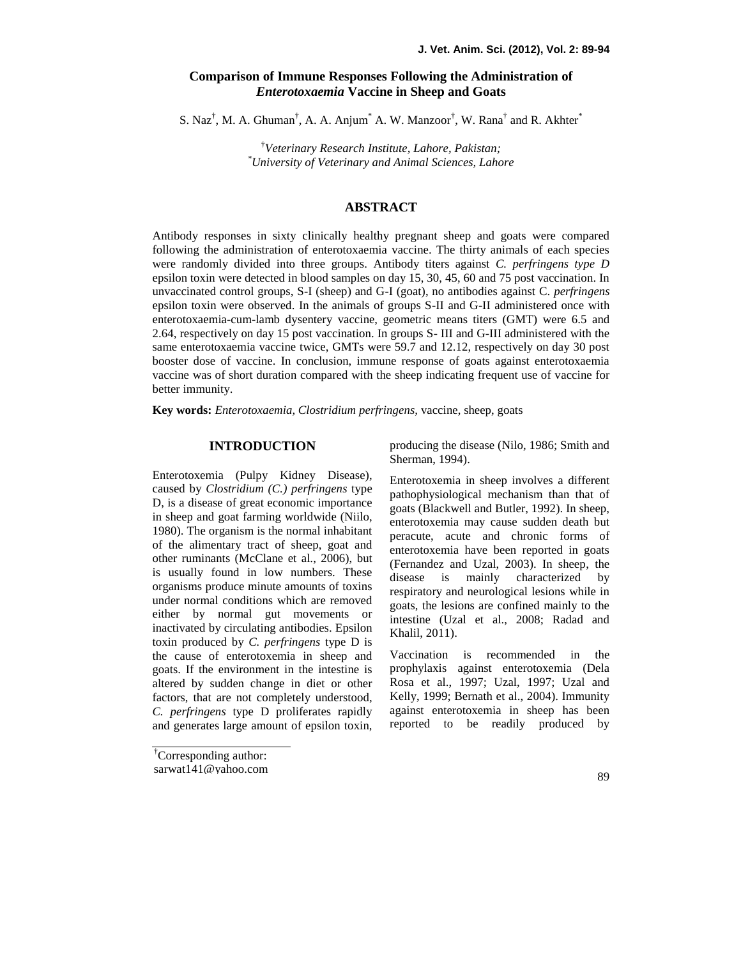# **Comparison of Immune Responses Following the Administration of** *Enterotoxaemia* **Vaccine in Sheep and Goats**

S. Naz<sup>†</sup>, M. A. Ghuman<sup>†</sup>, A. A. Anjum<sup>\*</sup> A. W. Manzoor<sup>†</sup>, W. Rana<sup>†</sup> and R. Akhter<sup>\*</sup>

†*Veterinary Research Institute, Lahore, Pakistan; \*University of Veterinary and Animal Sciences, Lahore*

## **ABSTRACT**

Antibody responses in sixty clinically healthy pregnant sheep and goats were compared following the administration of enterotoxaemia vaccine. The thirty animals of each species were randomly divided into three groups. Antibody titers against *C. perfringens type D* epsilon toxin were detected in blood samples on day 15, 30, 45, 60 and 75 post vaccination. In unvaccinated control groups, S-I (sheep) and G-I (goat), no antibodies against C. *perfringens* epsilon toxin were observed. In the animals of groups S-II and G-II administered once with enterotoxaemia-cum-lamb dysentery vaccine, geometric means titers (GMT) were 6.5 and 2.64, respectively on day 15 post vaccination. In groups S- III and G-III administered with the same enterotoxaemia vaccine twice, GMTs were 59.7 and 12.12, respectively on day 30 post booster dose of vaccine. In conclusion, immune response of goats against enterotoxaemia vaccine was of short duration compared with the sheep indicating frequent use of vaccine for better immunity.

**Key words:** *Enterotoxaemia, Clostridium perfringens,* vaccine, sheep, goats

# **INTRODUCTION**

Enterotoxemia (Pulpy Kidney Disease), caused by *Clostridium (C.) perfringens* type D, is a disease of great economic importance in sheep and goat farming worldwide (Niilo, 1980). The organism is the normal inhabitant of the alimentary tract of sheep, goat and other ruminants (McClane et al., 2006), but is usually found in low numbers. These organisms produce minute amounts of toxins under normal conditions which are removed either by normal gut movements or inactivated by circulating antibodies. Epsilon toxin produced by *C. perfringens* type D is the cause of enterotoxemia in sheep and goats. If the environment in the intestine is altered by sudden change in diet or other factors, that are not completely understood, *C. perfringens* type D proliferates rapidly and generates large amount of epsilon toxin,

†Corresponding author:

sarwat141@yahoo.com

producing the disease (Nilo, 1986; Smith and Sherman, 1994).

Enterotoxemia in sheep involves a different pathophysiological mechanism than that of goats (Blackwell and Butler, 1992). In sheep, enterotoxemia may cause sudden death but peracute, acute and chronic forms of enterotoxemia have been reported in goats (Fernandez and Uzal, 2003). In sheep, the disease is mainly characterized by respiratory and neurological lesions while in goats, the lesions are confined mainly to the intestine (Uzal et al., 2008; Radad and Khalil, 2011).

Vaccination is recommended in the prophylaxis against enterotoxemia (Dela Rosa et al., 1997; Uzal, 1997; Uzal and Kelly, 1999; Bernath et al., 2004). Immunity against enterotoxemia in sheep has been reported to be readily produced by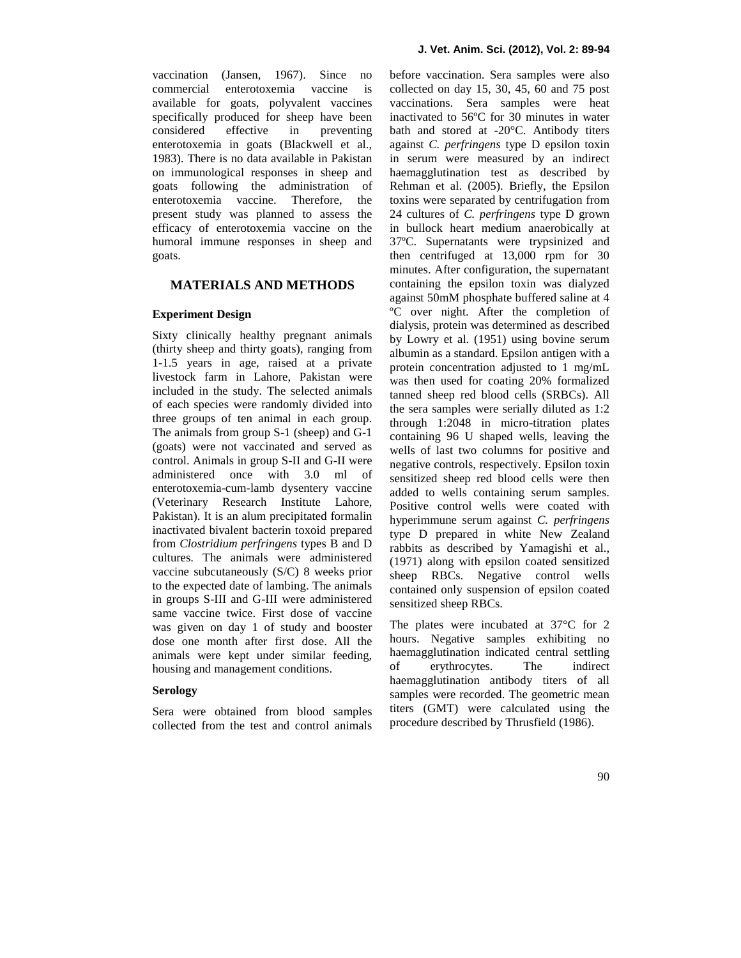vaccination (Jansen, 1967). Since no commercial enterotoxemia vaccine is available for goats, polyvalent vaccines specifically produced for sheep have been considered effective in preventing enterotoxemia in goats (Blackwell et al., 1983). There is no data available in Pakistan on immunological responses in sheep and goats following the administration of enterotoxemia vaccine. Therefore, the present study was planned to assess the efficacy of enterotoxemia vaccine on the humoral immune responses in sheep and goats.

# **MATERIALS AND METHODS**

## **Experiment Design**

Sixty clinically healthy pregnant animals (thirty sheep and thirty goats), ranging from 1-1.5 years in age, raised at a private livestock farm in Lahore, Pakistan were included in the study. The selected animals of each species were randomly divided into three groups of ten animal in each group. The animals from group S-1 (sheep) and G-1 (goats) were not vaccinated and served as control. Animals in group S-II and G-II were administered once with 3.0 ml of enterotoxemia-cum-lamb dysentery vaccine (Veterinary Research Institute Lahore, Pakistan). It is an alum precipitated formalin inactivated bivalent bacterin toxoid prepared from *Clostridium perfringens* types B and D cultures. The animals were administered vaccine subcutaneously (S/C) 8 weeks prior to the expected date of lambing. The animals in groups S-III and G-III were administered same vaccine twice. First dose of vaccine was given on day 1 of study and booster dose one month after first dose. All the animals were kept under similar feeding, has housing and management conditions.

#### **Serology**

Sera were obtained from blood samples collected from the test and control animals before vaccination. Sera samples were also collected on day 15, 30, 45, 60 and 75 post vaccinations. Sera samples were heat inactivated to 56ºC for 30 minutes in water bath and stored at -20°C. Antibody titers against *C. perfringens* type D epsilon toxin in serum were measured by an indirect haemagglutination test as described by Rehman et al. (2005). Briefly, the Epsilon toxins were separated by centrifugation from 24 cultures of *C. perfringens* type D grown in bullock heart medium anaerobically at 37ºC. Supernatants were trypsinized and then centrifuged at 13,000 rpm for 30 minutes. After configuration, the supernatant containing the epsilon toxin was dialyzed against 50mM phosphate buffered saline at 4 ºC over night. After the completion of dialysis, protein was determined as described by Lowry et al. (1951) using bovine serum albumin as a standard. Epsilon antigen with a protein concentration adjusted to 1 mg/mL was then used for coating 20% formalized tanned sheep red blood cells (SRBCs). All the sera samples were serially diluted as 1:2 through 1:2048 in micro-titration plates containing 96 U shaped wells, leaving the wells of last two columns for positive and negative controls, respectively. Epsilon toxin sensitized sheep red blood cells were then added to wells containing serum samples. Positive control wells were coated with hyperimmune serum against *C. perfringens* type D prepared in white New Zealand rabbits as described by Yamagishi et al., (1971) along with epsilon coated sensitized sheep RBCs. Negative control wells contained only suspension of epsilon coated sensitized sheep RBCs.

The plates were incubated at 37°C for 2 hours. Negative samples exhibiting no haemagglutination indicated central settling<br>of erythrocytes. The indirect erythrocytes. The indirect haemagglutination antibody titers of all samples were recorded. The geometric mean titers (GMT) were calculated using the procedure described by Thrusfield (1986).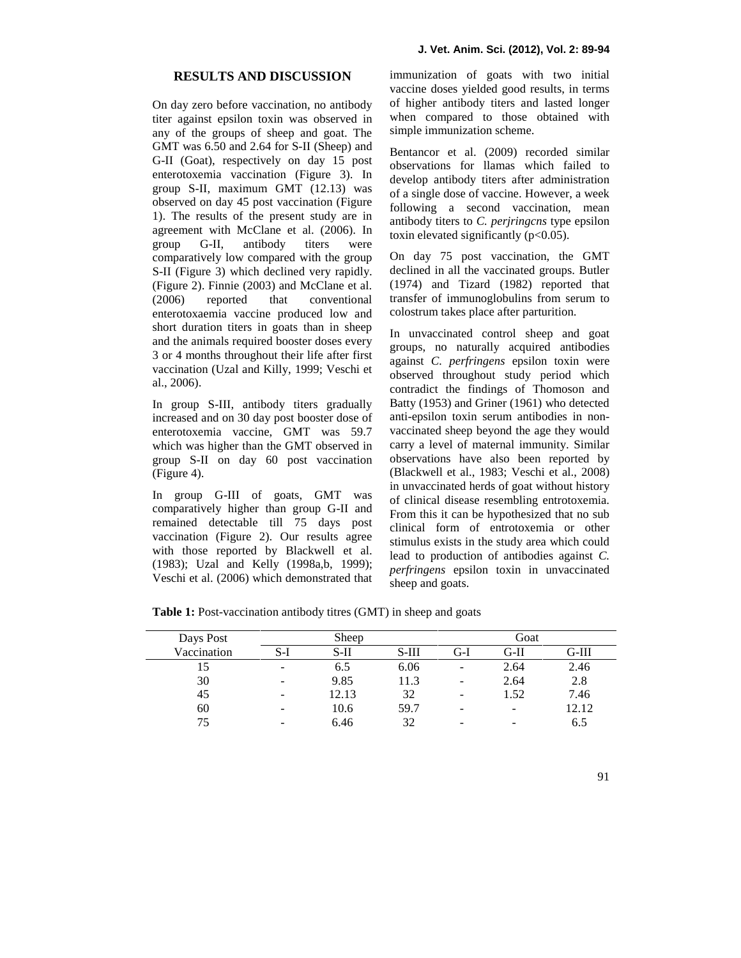### **RESULTS AND DISCUSSION**

On day zero before vaccination, no antibody titer against epsilon toxin was observed in any of the groups of sheep and goat. The GMT was 6.50 and 2.64 for S-II (Sheep) and G-II (Goat), respectively on day 15 post enterotoxemia vaccination (Figure 3). In group S-II, maximum GMT (12.13) was observed on day 45 post vaccination (Figure 1). The results of the present study are in agreement with McClane et al. (2006). In group G-II, antibody titers were comparatively low compared with the group S-II (Figure 3) which declined very rapidly. (Figure 2). Finnie (2003) and McClane et al. (2006) reported that conventional enterotoxaemia vaccine produced low and short duration titers in goats than in sheep and the animals required booster doses every 3 or 4 months throughout their life after first vaccination (Uzal and Killy, 1999; Veschi et al., 2006).

In group S-III, antibody titers gradually increased and on 30 day post booster dose of enterotoxemia vaccine, GMT was 59.7 which was higher than the GMT observed in group S-II on day 60 post vaccination (Figure 4).

In group G-III of goats, GMT was comparatively higher than group G-II and remained detectable till 75 days post vaccination (Figure 2). Our results agree with those reported by Blackwell et al. (1983); Uzal and Kelly (1998a,b, 1999); Veschi et al. (2006) which demonstrated that immunization of goats with two initial vaccine doses yielded good results, in terms of higher antibody titers and lasted longer when compared to those obtained with simple immunization scheme.

Bentancor et al. (2009) recorded similar observations for llamas which failed to develop antibody titers after administration of a single dose of vaccine. However, a week following a second vaccination, mean antibody titers to *C. perjringcns* type epsilon toxin elevated significantly  $(p<0.05)$ .

On day 75 post vaccination, the GMT declined in all the vaccinated groups. Butler (1974) and Tizard (1982) reported that transfer of immunoglobulins from serum to colostrum takes place after parturition.

In unvaccinated control sheep and goat groups, no naturally acquired antibodies against *C. perfringens* epsilon toxin were observed throughout study period which contradict the findings of Thomoson and Batty (1953) and Griner (1961) who detected anti-epsilon toxin serum antibodies in non vaccinated sheep beyond the age they would carry a level of maternal immunity. Similar observations have also been reported by (Blackwell et al., 1983; Veschi et al., 2008) in unvaccinated herds of goat without history of clinical disease resembling entrotoxemia. From this it can be hypothesized that no sub clinical form of entrotoxemia or other stimulus exists in the study area which could lead to production of antibodies against *C. perfringens* epsilon toxin in unvaccinated sheep and goats.

**Table 1:** Post-vaccination antibody titres (GMT) in sheep and goats

| Days Post   | Sheep                    |        |         | Goat |      |         |
|-------------|--------------------------|--------|---------|------|------|---------|
| Vaccination | S-I                      | $S-II$ | $S-III$ | G-I  | G-II | $G-III$ |
|             | $\overline{\phantom{0}}$ | 6.5    | 6.06    | -    | 2.64 | 2.46    |
| 30          | -                        | 9.85   | 11.3    | -    | 2.64 | 2.8     |
| 45          | -                        | 12.13  | 32      | -    | 1.52 | 7.46    |
| 60          | -                        | 10.6   | 59.7    | -    |      | 12.12   |
| 75          | -                        | 6.46   | 32      | -    |      | 6.5     |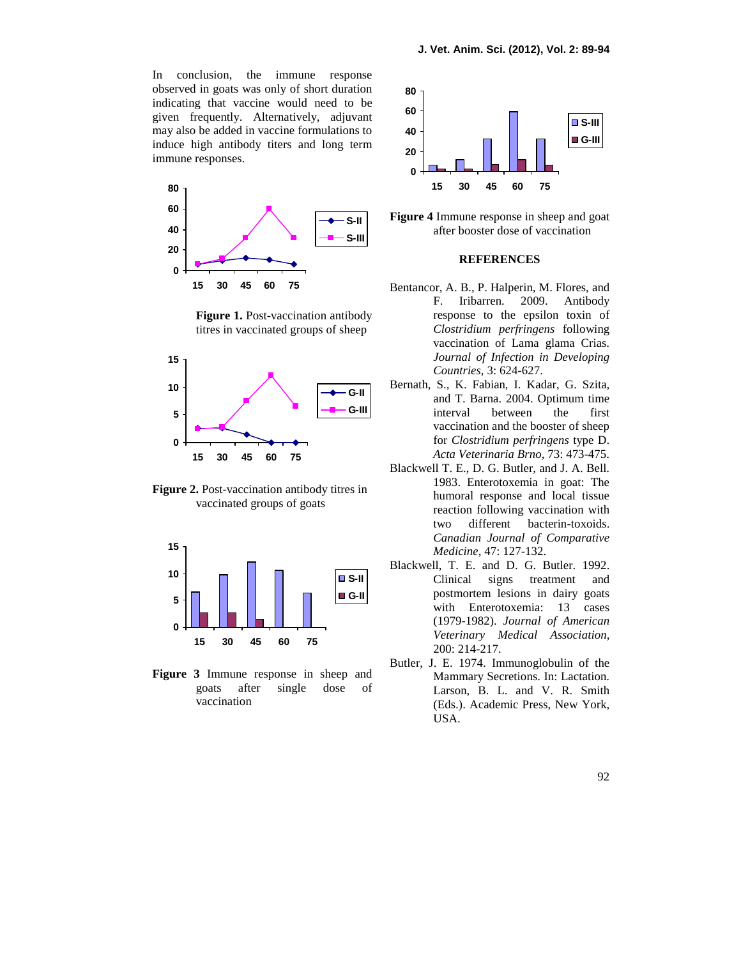In conclusion, the immune response observed in goats was only of short duration indicating that vaccine would need to be given frequently. Alternatively, adjuvant may also be added in vaccine formulations to induce high antibody titers and long term immune responses.



**Figure 1.** Post-vaccination antibody titres in vaccinated groups of sheep



**Figure 2.** Post-vaccination antibody titres in vaccinated groups of goats



**Figure 3** Immune response in sheep and goats after single dose of vaccination



**Figure 4** Immune response in sheep and goat after booster dose of vaccination

### **REFERENCES**

- Bentancor, A. B., P. Halperin, M. Flores, and F. Iribarren. 2009. Antibody response to the epsilon toxin of *Clostridium perfringens* following vaccination of Lama glama Crias. *Journal of Infection in Developing Countries,* 3: 624-627.
- Bernath, S., K. Fabian, I. Kadar, G. Szita, and T. Barna. 2004. Optimum time interval between the first vaccination and the booster of sheep for *Clostridium perfringens* type D. *Acta Veterinaria Brno,* 73: 473-475.
- Blackwell T. E., D. G. Butler, and J. A. Bell. 1983. Enterotoxemia in goat: The humoral response and local tissue reaction following vaccination with two different bacterin-toxoids. *Canadian Journal of Comparative Medicine*, 47: 127-132.
- Blackwell, T. E. and D. G. Butler. 1992. Clinical signs treatment and postmortem lesions in dairy goats with Enterotoxemia: 13 cases (1979-1982). *Journal of American Veterinary Medical Association*, 200: 214-217.
- Butler, J. E. 1974. Immunoglobulin of the Mammary Secretions. In: Lactation. Larson, B. L. and V. R. Smith (Eds.). Academic Press, New York, USA.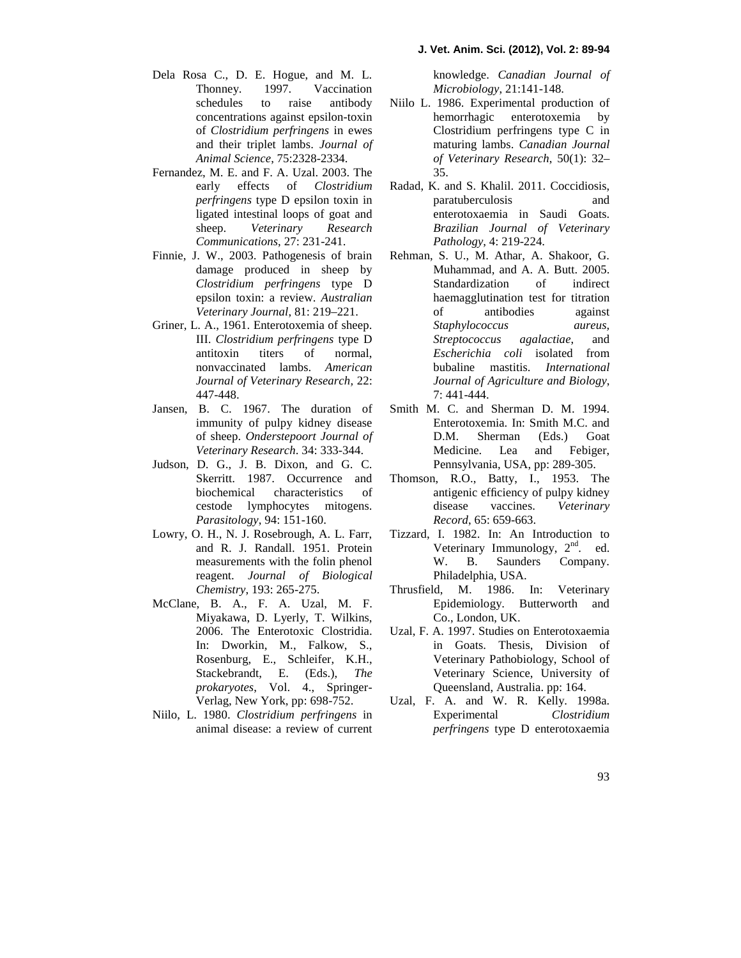#### **J. Vet. Anim. Sci. (2012), Vol. 2: 89-94**

- Dela Rosa C., D. E. Hogue, and M. L. Thonney. 1997. Vaccination schedules to raise antibody concentrations against epsilon-toxin of *Clostridium perfringens* in ewes and their triplet lambs. *Journal of Animal Science*, 75:2328-2334.
- Fernandez, M. E. and F. A. Uzal. 2003. The early effects of *Clostridium perfringens* type D epsilon toxin in ligated intestinal loops of goat and sheep. *Veterinary Research Communications*, 27: 231-241.
- Finnie, J. W., 2003. Pathogenesis of brain damage produced in sheep by *Clostridium perfringens* type D epsilon toxin: a review. *Australian Veterinary Journal*, 81: 219–221.
- Griner, L. A., 1961. Enterotoxemia of sheep. III. *Clostridium perfringens* type D antitoxin titers of normal, nonvaccinated lambs. *American Journal of Veterinary Research,* 22: 447-448.
- Jansen, B. C. 1967. The duration of immunity of pulpy kidney disease of sheep. *Onderstepoort Journal of Veterinary Research*. 34: 333-344.
- Judson, D. G., J. B. Dixon, and G. C. Skerritt. 1987. Occurrence and biochemical characteristics of cestode lymphocytes mitogens. *Parasitology*, 94: 151-160.
- Lowry, O. H., N. J. Rosebrough, A. L. Farr, and R. J. Randall. 1951. Protein measurements with the folin phenol reagent. *Journal of Biological Chemistry*, 193: 265-275.
- McClane, B. A., F. A. Uzal, M. F. Miyakawa, D. Lyerly, T. Wilkins, 2006. The Enterotoxic Clostridia. In: Dworkin, M., Falkow, S., Rosenburg, E., Schleifer, K.H., Stackebrandt, E. (Eds.), *The prokaryotes*, Vol. 4., Springer- Verlag, New York, pp: 698-752.
- Niilo, L. 1980. *Clostridium perfringens* in animal disease: a review of current

knowledge. *Canadian Journal of Microbiology*, 21:141-148.

- Niilo L. 1986. Experimental production of hemorrhagic enterotoxemia by Clostridium perfringens type C in maturing lambs. *Canadian Journal of Veterinary Research*, 50(1): 32– 35.
- Radad, K. and S. Khalil. 2011. Coccidiosis, paratuberculosis and enterotoxaemia in Saudi Goats. *Brazilian Journal of Veterinary Pathology*, 4: 219-224.
- Rehman, S. U., M. Athar, A. Shakoor, G. Muhammad, and A. A. Butt. 2005. Standardization of indirect haemagglutination test for titration of antibodies against *Staphylococcus aureus, Streptococcus agalactiae*, and *Escherichia coli* isolated from bubaline mastitis. *International Journal of Agriculture and Biology*, 7: 441-444.
- Smith M. C. and Sherman D. M. 1994. Enterotoxemia. In: Smith M.C. and D.M. Sherman (Eds.) Goat Medicine. Lea and Febiger, Pennsylvania, USA, pp: 289-305.
- Thomson, R.O., Batty, I., 1953. The antigenic efficiency of pulpy kidney<br>disease vaccines. Veterinary Veterinary *Record*, 65: 659-663.
- Tizzard, I. 1982. In: An Introduction to Veterinary Immunology, 2<sup>nd</sup>. ed. W. B. Saunders Company. Philadelphia, USA.
- Thrusfield, M. 1986. In: Veterinary Epidemiology. Butterworth and Co., London, UK.
- Uzal, F. A. 1997. Studies on Enterotoxaemia in Goats. Thesis, Division of Veterinary Pathobiology, School of Veterinary Science, University of Queensland, Australia. pp: 164.
- Uzal, F. A. and W. R. Kelly. 1998a. Experimental *Clostridium perfringens* type D enterotoxaemia